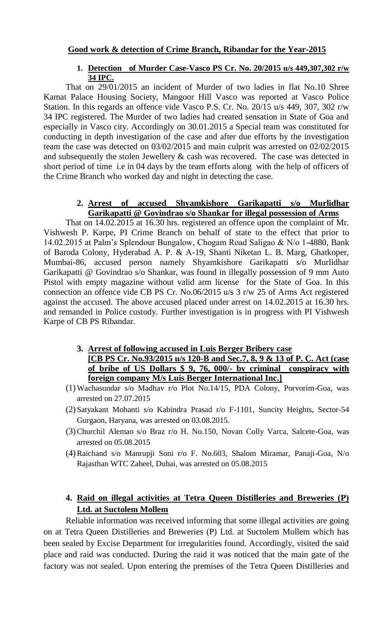# **Good work & detection of Crime Branch, Ribandar for the Year-2015**

## **1. Detection of Murder Case-Vasco PS Cr. No. 20/2015 u/s 449,307,302 r/w 34 IPC.**

That on 29/01/2015 an incident of Murder of two ladies in flat No.10 Shree Kamat Palace Housing Society, Mangoor Hill Vasco was reported at Vasco Police Station. In this regards an offence vide Vasco P.S. Cr. No. 20/15 u/s 449, 307, 302 r/w 34 IPC registered. The Murder of two ladies had created sensation in State of Goa and especially in Vasco city. Accordingly on 30.01.2015 a Special team was constituted for conducting in depth investigation of the case and after due efforts by the investigation team the case was detected on 03/02/2015 and main culprit was arrested on 02/02/2015 and subsequently the stolen Jewellery & cash was recovered. The case was detected in short period of time i.e in 04 days by the team efforts along with the help of officers of the Crime Branch who worked day and night in detecting the case.

# **2. Arrest of accused Shyamkishore Garikapatti s/o Murlidhar Garikapatti @ Govindrao s/o Shankar for illegal possession of Arms**

That on 14.02.2015 at 16.30 hrs. registered an offence upon the complaint of Mr. Vishwesh P. Karpe, PI Crime Branch on behalf of state to the effect that prior to 14.02.2015 at Palm's Splendour Bungalow, Chogam Road Saligao & N/o 1-4880, Bank of Baroda Colony, Hyderabad A. P. & A-19, Shanti Niketan L. B. Marg, Ghatkoper, Mumbai-86, accused person namely Shyamkishore Garikapatti s/o Murlidhar Garikapatti @ Govindrao s/o Shankar, was found in illegally possession of 9 mm Auto Pistol with empty magazine without valid arm license for the State of Goa. In this connection an offence vide CB PS Cr. No.06/2015 u/s 3 r/w 25 of Arms Act registered against the accused. The above accused placed under arrest on 14.02.2015 at 16.30 hrs. and remanded in Police custody. Further investigation is in progress with PI Vishwesh Karpe of CB PS Ribandar.

- **3. Arrest of following accused in Luis Berger Bribery case [CB PS Cr. No.93/2015 u/s 120-B and Sec.7, 8, 9 & 13 of P. C. Act (case of bribe of US Dollars \$ 9, 76, 000/- by criminal conspiracy with foreign company M/s Luis Berger International Inc.]**
- (1)Wachasundar s/o Madhav r/o Plot No.14/15, PDA Colony, Porvorim-Goa, was arrested on 27.07.2015
- (2)Satyakant Mohanti s/o Kabindra Prasad r/o F-1101, Suncity Heights, Sector-54 Gurgaon, Haryana, was arrested on 03.08.2015.
- (3)Churchil Alemao s/o Braz r/o H. No.150, Novan Colly Varca, Salcete-Goa, was arrested on 05.08.2015
- (4)Raichand s/o Manrupji Soni r/o F. No.603, Shalom Miramar, Panaji-Goa, N/o Rajasthan WTC Zabeel, Dubai, was arrested on 05.08.2015

# **4. Raid on illegal activities at Tetra Queen Distilleries and Breweries (P) Ltd. at Suctolem Mollem**

Reliable information was received informing that some illegal activities are going on at Tetra Queen Distilleries and Breweries (P) Ltd. at Suctolem Mollem which has been sealed by Excise Department for irregularities found. Accordingly, visited the said place and raid was conducted. During the raid it was noticed that the main gate of the factory was not sealed. Upon entering the premises of the Tetra Queen Distilleries and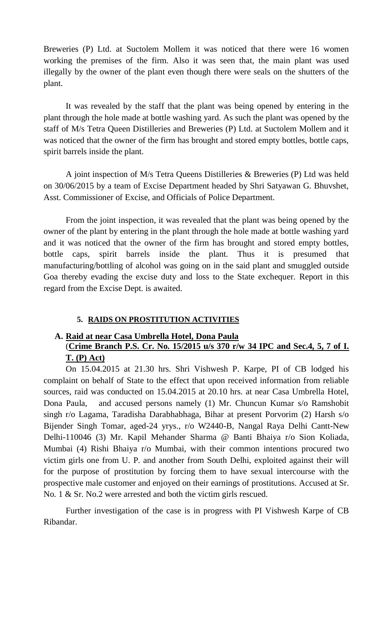Breweries (P) Ltd. at Suctolem Mollem it was noticed that there were 16 women working the premises of the firm. Also it was seen that, the main plant was used illegally by the owner of the plant even though there were seals on the shutters of the plant.

It was revealed by the staff that the plant was being opened by entering in the plant through the hole made at bottle washing yard. As such the plant was opened by the staff of M/s Tetra Queen Distilleries and Breweries (P) Ltd. at Suctolem Mollem and it was noticed that the owner of the firm has brought and stored empty bottles, bottle caps, spirit barrels inside the plant.

A joint inspection of M/s Tetra Queens Distilleries & Breweries (P) Ltd was held on 30/06/2015 by a team of Excise Department headed by Shri Satyawan G. Bhuvshet, Asst. Commissioner of Excise, and Officials of Police Department.

From the joint inspection, it was revealed that the plant was being opened by the owner of the plant by entering in the plant through the hole made at bottle washing yard and it was noticed that the owner of the firm has brought and stored empty bottles, bottle caps, spirit barrels inside the plant. Thus it is presumed that manufacturing/bottling of alcohol was going on in the said plant and smuggled outside Goa thereby evading the excise duty and loss to the State exchequer. Report in this regard from the Excise Dept. is awaited.

## **5. RAIDS ON PROSTITUTION ACTIVITIES**

## **A. Raid at near Casa Umbrella Hotel, Dona Paula**

# (**Crime Branch P.S. Cr. No. 15/2015 u/s 370 r/w 34 IPC and Sec.4, 5, 7 of I. T. (P) Act)**

On 15.04.2015 at 21.30 hrs. Shri Vishwesh P. Karpe, PI of CB lodged his complaint on behalf of State to the effect that upon received information from reliable sources, raid was conducted on 15.04.2015 at 20.10 hrs. at near Casa Umbrella Hotel, Dona Paula, and accused persons namely (1) Mr. Chuncun Kumar s/o Ramshobit singh r/o Lagama, Taradisha Darabhabhaga, Bihar at present Porvorim (2) Harsh s/o Bijender Singh Tomar, aged-24 yrys., r/o W2440-B, Nangal Raya Delhi Cantt-New Delhi-110046 (3) Mr. Kapil Mehander Sharma @ Banti Bhaiya r/o Sion Koliada, Mumbai (4) Rishi Bhaiya r/o Mumbai, with their common intentions procured two victim girls one from U. P. and another from South Delhi, exploited against their will for the purpose of prostitution by forcing them to have sexual intercourse with the prospective male customer and enjoyed on their earnings of prostitutions. Accused at Sr. No. 1 & Sr. No.2 were arrested and both the victim girls rescued.

Further investigation of the case is in progress with PI Vishwesh Karpe of CB Ribandar.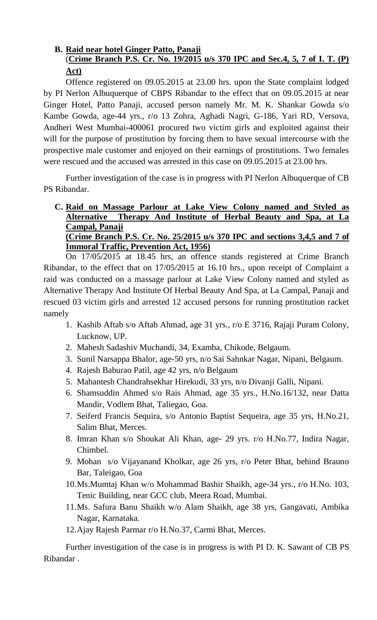# **B. Raid near hotel Ginger Patto, Panaji** (**Crime Branch P.S. Cr. No. 19/2015 u/s 370 IPC and Sec.4, 5, 7 of I. T. (P) Act)**

Offence registered on 09.05.2015 at 23.00 hrs. upon the State complaint lodged by PI Nerlon Albuquerque of CBPS Ribandar to the effect that on 09.05.2015 at near Ginger Hotel, Patto Panaji, accused person namely Mr. M. K. Shankar Gowda s/o Kambe Gowda, age-44 yrs., r/o 13 Zohra, Aghadi Nagri, G-186, Yari RD, Versova, Andheri West Mumbai-400061 procured two victim girls and exploited against their will for the purpose of prostitution by forcing them to have sexual intercourse with the prospective male customer and enjoyed on their earnings of prostitutions. Two females were rescued and the accused was arrested in this case on 09.05.2015 at 23.00 hrs.

Further investigation of the case is in progress with PI Nerlon Albuquerque of CB PS Ribandar.

## **C. Raid on Massage Parlour at Lake View Colony named and Styled as Alternative Therapy And Institute of Herbal Beauty and Spa, at La Campal, Panaji (Crime Branch P.S. Cr. No. 25/2015 u/s 370 IPC and sections 3,4,5 and 7 of Immoral Traffic, Prevention Act, 1956)**

On 17/05/2015 at 18.45 hrs, an offence stands registered at Crime Branch Ribandar, to the effect that on 17/05/2015 at 16.10 hrs., upon receipt of Complaint a raid was conducted on a massage parlour at Lake View Colony named and styled as Alternative Therapy And Institute Of Herbal Beauty And Spa, at La Campal, Panaji and rescued 03 victim girls and arrested 12 accused persons for running prostitution racket namely

- 1. Kashib Aftab s/o Aftab Ahmad, age 31 yrs., r/o E 3716, Rajaji Puram Colony, Lucknow, UP.
- 2. Mahesh Sadashiv Muchandi, 34, Examba, Chikode, Belgaum.
- 3. Sunil Narsappa Bhalor, age-50 yrs, n/o Sai Sahnkar Nagar, Nipani, Belgaum.
- 4. Rajesh Baburao Patil, age 42 yrs, n/o Belgaum
- 5. Mahantesh Chandrahsekhar Hirekudi, 33 yrs, n/o Divanji Galli, Nipani.
- 6. Shamsuddin Ahmed s/o Rais Ahmad, age 35 yrs., H.No.16/132, near Datta Mandir, Vodlem Bhat, Taliegao, Goa.
- 7. Seiferd Francis Sequira, s/o Antonio Baptist Sequeira, age 35 yrs, H.No.21, Salim Bhat, Merces.
- 8. Imran Khan s/o Shoukat Ali Khan, age- 29 yrs. r/o H.No.77, Indira Nagar, Chimbel.
- 9. Mohan s/o Vijayanand Kholkar, age 26 yrs, r/o Peter Bhat, behind Brauno Bar, Taleigao, Goa
- 10.Ms.Mumtaj Khan w/o Mohammad Bashir Shaikh, age-34 yrs., r/o H.No. 103, Tenic Building, near GCC club, Meera Road, Mumbai.
- 11.Ms. Safura Banu Shaikh w/o Alam Shaikh, age 38 yrs, Gangavati, Ambika Nagar, Karnataka.
- 12.Ajay Rajesh Parmar r/o H.No.37, Carmi Bhat, Merces.

Further investigation of the case is in progress is with PI D. K. Sawant of CB PS Ribandar .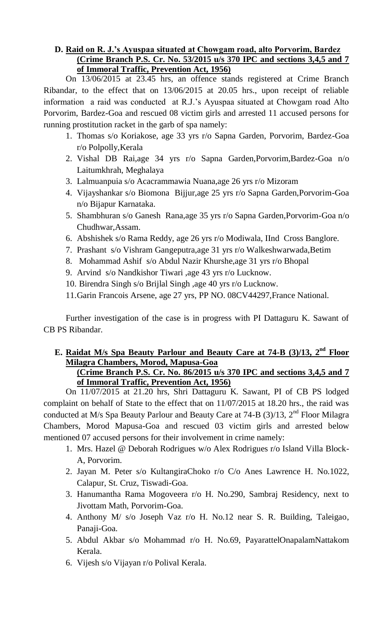# **D. Raid on R. J.'s Ayuspaa situated at Chowgam road, alto Porvorim, Bardez (Crime Branch P.S. Cr. No. 53/2015 u/s 370 IPC and sections 3,4,5 and 7 of Immoral Traffic, Prevention Act, 1956)**

On 13/06/2015 at 23.45 hrs, an offence stands registered at Crime Branch Ribandar, to the effect that on 13/06/2015 at 20.05 hrs., upon receipt of reliable information a raid was conducted at R.J.'s Ayuspaa situated at Chowgam road Alto Porvorim, Bardez-Goa and rescued 08 victim girls and arrested 11 accused persons for running prostitution racket in the garb of spa namely:

- 1. Thomas s/o Koriakose, age 33 yrs r/o Sapna Garden, Porvorim, Bardez-Goa r/o Polpolly,Kerala
- 2. Vishal DB Rai,age 34 yrs r/o Sapna Garden,Porvorim,Bardez-Goa n/o Laitumkhrah, Meghalaya
- 3. Lalmuanpuia s/o Acacrammawia Nuana,age 26 yrs r/o Mizoram
- 4. Vijayshankar s/o Biomona Bijjur,age 25 yrs r/o Sapna Garden,Porvorim-Goa n/o Bijapur Karnataka.
- 5. Shambhuran s/o Ganesh Rana,age 35 yrs r/o Sapna Garden,Porvorim-Goa n/o Chudhwar,Assam.
- 6. Abshishek s/o Rama Reddy, age 26 yrs r/o Modiwala, IInd Cross Banglore.
- 7. Prashant s/o Vishram Gangeputra,age 31 yrs r/o Walkeshwarwada,Betim
- 8. Mohammad Ashif s/o Abdul Nazir Khurshe,age 31 yrs r/o Bhopal
- 9. Arvind s/o Nandkishor Tiwari ,age 43 yrs r/o Lucknow.
- 10. Birendra Singh s/o Brijlal Singh ,age 40 yrs r/o Lucknow.
- 11.Garin Francois Arsene, age 27 yrs, PP NO. 08CV44297,France National.

Further investigation of the case is in progress with PI Dattaguru K. Sawant of CB PS Ribandar.

# **E. Raidat M/s Spa Beauty Parlour and Beauty Care at 74-B (3)/13, 2nd Floor Milagra Chambers, Morod, Mapusa-Goa**

# **(Crime Branch P.S. Cr. No. 86/2015 u/s 370 IPC and sections 3,4,5 and 7 of Immoral Traffic, Prevention Act, 1956)**

On 11/07/2015 at 21.20 hrs, Shri Dattaguru K. Sawant, PI of CB PS lodged complaint on behalf of State to the effect that on 11/07/2015 at 18.20 hrs., the raid was conducted at M/s Spa Beauty Parlour and Beauty Care at 74-B  $(3)/13$ ,  $2<sup>nd</sup>$  Floor Milagra Chambers, Morod Mapusa-Goa and rescued 03 victim girls and arrested below mentioned 07 accused persons for their involvement in crime namely:

- 1. Mrs. Hazel @ Deborah Rodrigues w/o Alex Rodrigues r/o Island Villa Block-A, Porvorim.
- 2. Jayan M. Peter s/o KultangiraChoko r/o C/o Anes Lawrence H. No.1022, Calapur, St. Cruz, Tiswadi-Goa.
- 3. Hanumantha Rama Mogoveera r/o H. No.290, Sambraj Residency, next to Jivottam Math, Porvorim-Goa.
- 4. Anthony M/ s/o Joseph Vaz r/o H. No.12 near S. R. Building, Taleigao, Panaji-Goa.
- 5. Abdul Akbar s/o Mohammad r/o H. No.69, PayarattelOnapalamNattakom Kerala.
- 6. Vijesh s/o Vijayan r/o Polival Kerala.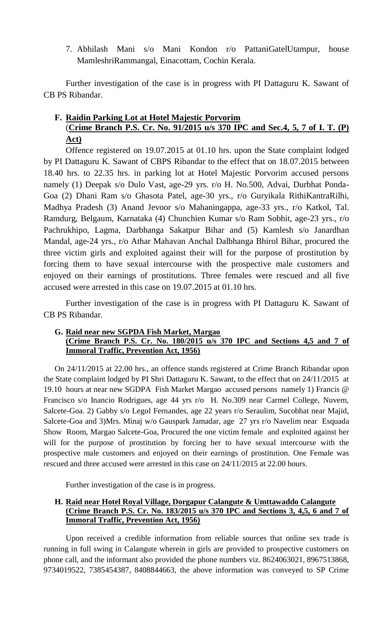7. Abhilash Mani s/o Mani Kondon r/o PattaniGatelUtampur, house MamleshriRammangal, Einacottam, Cochin Kerala.

Further investigation of the case is in progress with PI Dattaguru K. Sawant of CB PS Ribandar.

# **F. Raidin Parking Lot at Hotel Majestic Porvorim**

# (**Crime Branch P.S. Cr. No. 91/2015 u/s 370 IPC and Sec.4, 5, 7 of I. T. (P) Act)**

Offence registered on 19.07.2015 at 01.10 hrs. upon the State complaint lodged by PI Dattaguru K. Sawant of CBPS Ribandar to the effect that on 18.07.2015 between 18.40 hrs. to 22.35 hrs. in parking lot at Hotel Majestic Porvorim accused persons namely (1) Deepak s/o Dulo Vast, age-29 yrs. r/o H. No.500, Advai, Durbhat Ponda-Goa (2) Dhani Ram s/o Ghasota Patel, age-30 yrs., r/o Guryikala RithiKantraRilhi, Madhya Pradesh (3) Anand Jevoor s/o Mahaningappa, age-33 yrs., r/o Katkol, Tal. Ramdurg, Belgaum, Karnataka (4) Chunchien Kumar s/o Ram Sobhit, age-23 yrs., r/o Pachrukhipo, Lagma, Darbhanga Sakatpur Bihar and (5) Kamlesh s/o Janardhan Mandal, age-24 yrs., r/o Athar Mahavan Anchal Dalbhanga Bhirol Bihar, procured the three victim girls and exploited against their will for the purpose of prostitution by forcing them to have sexual intercourse with the prospective male customers and enjoyed on their earnings of prostitutions. Three females were rescued and all five accused were arrested in this case on 19.07.2015 at 01.10 hrs.

Further investigation of the case is in progress with PI Dattaguru K. Sawant of CB PS Ribandar.

## **G. Raid near new SGPDA Fish Market, Margao**

# **(Crime Branch P.S. Cr. No. 180/2015 u/s 370 IPC and Sections 4,5 and 7 of Immoral Traffic, Prevention Act, 1956)**

On 24/11/2015 at 22.00 hrs., an offence stands registered at Crime Branch Ribandar upon the State complaint lodged by PI Shri Dattaguru K. Sawant, to the effect that on 24/11/2015 at 19.10 hours at near new SGDPA Fish Market Margao accused persons namely 1) Francis @ Francisco s/o Inancio Rodrigues, age 44 yrs r/o H. No.309 near Carmel College, Nuvem, Salcete-Goa. 2) Gabby s/o Legol Fernandes, age 22 years r/o Seraulim, Sucobhat near Majid, Salcete-Goa and 3)Mrs. Minaj w/o Gauspark Jamadar, age 27 yrs r/o Navelim near Esquada Show Room, Margao Salcete-Goa, Procured the one victim female and exploited against her will for the purpose of prostitution by forcing her to have sexual intercourse with the prospective male customers and enjoyed on their earnings of prostitution. One Female was rescued and three accused were arrested in this case on 24/11/2015 at 22.00 hours.

Further investigation of the case is in progress.

### **H. Raid near Hotel Royal Village, Dorgapur Calangute & Umttawaddo Calangute (Crime Branch P.S. Cr. No. 183/2015 u/s 370 IPC and Sections 3, 4,5, 6 and 7 of Immoral Traffic, Prevention Act, 1956)**

Upon received a credible information from reliable sources that online sex trade is running in full swing in Calangute wherein in girls are provided to prospective customers on phone call, and the informant also provided the phone numbers viz. 8624063021, 8967513868, 9734019522, 7385454387, 8408844663, the above information was conveyed to SP Crime